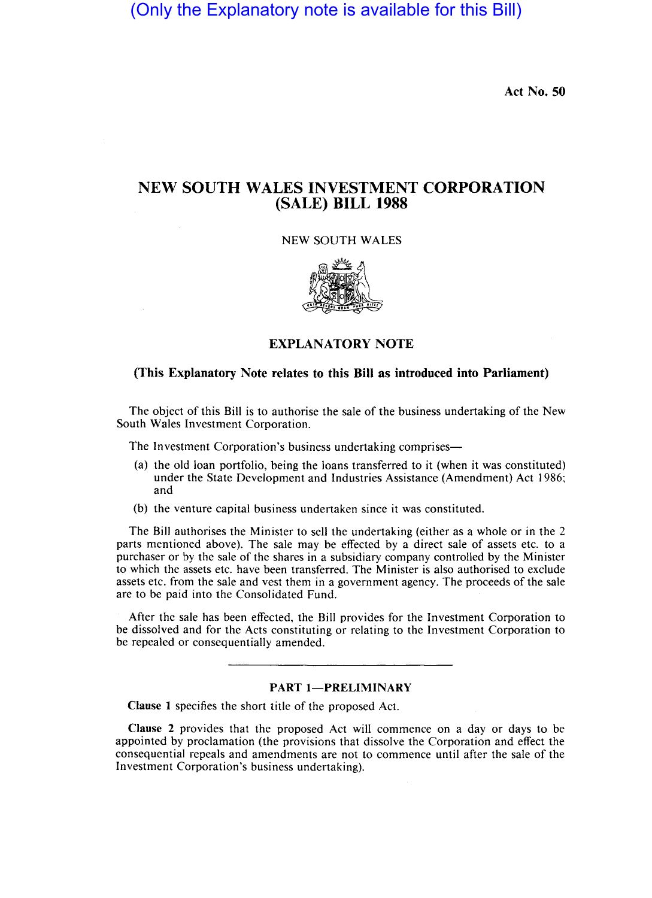(Only the Explanatory note is available for this Bill)

Act No. 50

# NEW SOUTH WALES INVESTMENT CORPORATION (SALE) BILL 1988

NEW SOUTH WALES



# EXPLANATORY NOTE

# (This Explanatory Note relates to this Bill as introduced into Parliament)

The object of this Bill is to authorise the sale of the business undertaking of the New South Wales Investment Corporation.

The Investment Corporation's business undertaking comprises—

- (a) the old loan portfolio, being the loans transferred to it (when it was constituted) under the State Development and Industries Assistance (Amendment) Act 1986; and
- (b) the venture capital business undertaken since it was constituted.

The Bill authorises the Minister to sell the undertaking (either as a whole or in the 2 parts mentioned above). The sale may be effected by a direct sale of assets etc. to a purchaser or by the sale of the shares in a subsidiary company controlled by the Minister to which the assets etc. have been transferred. The Minister is also authorised to exclude assets etc. from the sale and vest them in a government agency. The proceeds of the sale are to be paid into the Consolidated Fund.

After the sale has been effected, the Bill provides for the Investment Corporation to be dissolved and for the Acts constituting or relating to the Investment Corporation to be repealed or consequentially amended.

#### PART 1-PRELIMINARY

Clause I specifies the short title of the proposed Act.

Clause 2 provides that the proposed Act will commence on a day or days to be appointed by proclamation (the provisions that dissolve the Corporation and effect the consequential repeals and amendments are not to commence until after the sale of the Investment Corporation's business undertaking).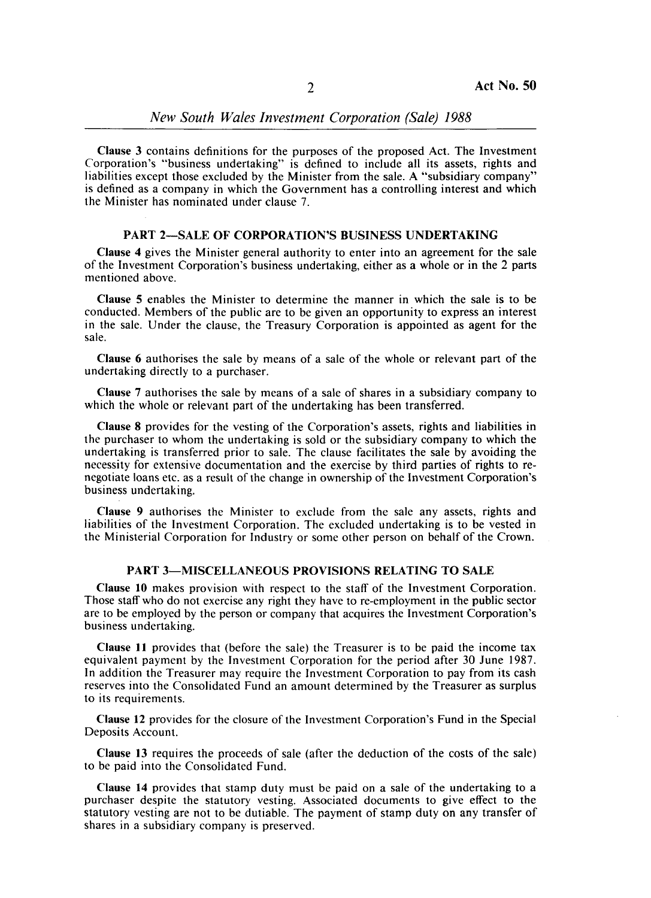Clause 3 contains definitions for the purposes of the proposed Act. The Investment Corporation's "business undertaking" is defined to include all its assets, rights and liabilities except those excluded by the Minister from the sale. A "subsidiary company" is defined as a company in which the Government has a controlling interest and which the Minister has nominated under clause 7.

## PART 2-SALE OF CORPORATION'S BUSINESS UNDERTAKING

Clause 4 gives the Minister general authority to enter into an agreement for the sale of the Investment Corporation's business undertaking, either as a whole or in the 2 parts mentioned above.

Clause 5 enables the Minister to determine the manner in which the sale is to be conducted. Members of the public are to be given an opportunity to express an interest in the sale. Under the clause, the Treasury Corporation is appointed as agent for the sale.

Clause 6 authorises the sale by means of a sale of the whole or relevant part of the undertaking directly to a purchaser.

Clause 7 authorises the sale by means of a sale of shares in a subsidiary company to which the whole or relevant part of the undertaking has been transferred.

Clause 8 provides for the vesting of the Corporation's assets, rights and liabilities in the purchaser to whom the undertaking is sold or the subsidiary company to which the undertaking is transferred prior to sale. The clause facilitates the sale by avoiding the necessity for extensive documentation and the exercise by third parties of rights to renegotiate loans etc. as a result of the change in ownership of the Investment Corporation's business undertaking.

Clause 9 authorises the Minister to exclude from the sale any assets, rights and liabilities of the Investment Corporation. The excluded undertaking is to be vested in the Ministerial Corporation for Industry or some other person on behalf of the Crown.

## PART 3-MISCELLANEOUS PROVISIONS RELATING TO SALE

Clause 10 makes provision with respect to the staff of the Investment Corporation. Those staff who do not exercise any right they have to re-employment in the public sector are to be employed by the person or company that acquires the Investment Corporation's business undertaking.

Clause 11 provides that (before the sale) the Treasurer is to be paid the income tax equivalent payment by the Investment Corporation for the period after 30 June 1987. In addition the Treasurer may require the Investment Corporation to pay from its cash reserves into the Consolidated Fund an amount determined by the Treasurer as surplus to its requirements.

Clause 12 provides for the closure of the Investment Corporation's Fund in the Special Deposits Account.

Clause 13 requires the proceeds of sale (after the deduction of the costs of the sale) to be paid into the Consolidated Fund.

Clause 14 provides that stamp duty must be paid on a sale of the undertaking to a purchaser despite the statutory vesting. Associated documents to give effect to the statutory vesting are not to be dutiable. The payment of stamp duty on any transfer of shares in a subsidiary company is preserved.